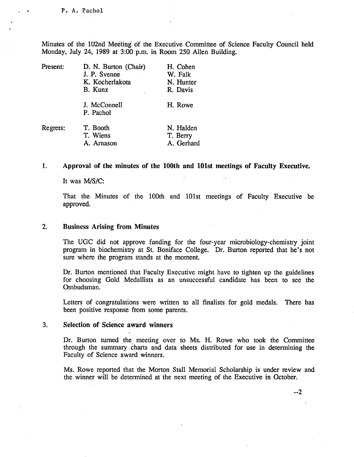Minutes of the 102nd Meeting of the Executive Committee of Science Faculty Council held Monday, July 24, 1989 at 3:00 p.m. in Room *250* Allen Building.

| Present: | D. N. Burton (Chair)<br>J. P. Svenne | H. Cohen<br>W. Falk                 |
|----------|--------------------------------------|-------------------------------------|
|          | K. Kocherlakota                      | N. Hunter                           |
|          | B. Kunz                              | R. Davis                            |
|          | J. McConnell<br>P. Pachol            | H. Rowe                             |
| Regrets: | T. Booth<br>T. Wiens<br>A. Arnason   | N. Halden<br>T. Berry<br>A. Gerhard |

#### $1.$ **Approval of the minutes of the 100th and 101st meetings of Faculty Executive.**

It was M/S/C:

That the Minutes of the 100th and 101st meetings of Faculty Executive be approved.

#### $2.$ **Business Arising from Minutes**

The UGC did not approve funding for the four-year microbiology-chemistry joint program in biochemistry at St. Boniface College. Dr. Burton reported that he's not sure where the program stands at the moment.

Dr. Burton mentioned that Faculty Executive might have to tighten up the guidelines for choosing Gold Medallists as an unsuccessful candidate has been to see the Ombudsman.

Letters of congratulations were written to all finalists for gold medals. There has been positive response from some parents.

### $3.$ **Selection of Science award winners**

Dr. Burton turned the meeting over to Ms. H. Rowe who took the Committee through the summary charts and data sheets distributed for use in determining the Faculty of Science award winners.

Ms. Rowe reported that the Morton Stall Memorial Scholarship is under review and the winner will be determined at the next meeting of the Executive in October.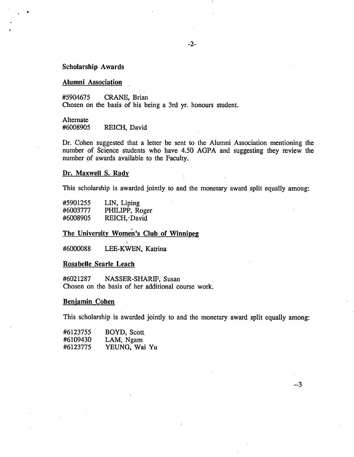# **Scholarship Awards**

# **Alumni Association**

*#5904675* CRANE, Brian Chosen on the basis of his being a 3rd yr. honours student.

# Alternate<br>#6008905

REICH, David

Dr. Cohen suggested that a letter be sent to the Alumni Association mentioning the number of Science students who have *4.50* AGPA and suggesting they review the number of awards available to the Faculty.

# **Dr. Maxwell S. Rady**

This scholarship is awarded jointly to and the monetary award split equally among:

| #5901255 | LIN, Liping    |
|----------|----------------|
| #6003777 | PHILIPP, Roger |
| #6008905 | REICH, David   |

# **The University Women's Club of Winnipeg**

#6000088 LEE-KWEN, Katrina

### **Rosabelle Searle Leach**

#6021287 NASSER-SHARIF, Susan Chosen on the basis of her additional course work.

### **Benjamin Cohen**

This scholarship is awarded jointly to and the monetary award split equally among:

--3

| #6123755 | BOYD, Scott   |
|----------|---------------|
| #6109430 | LAM, Ngam     |
| #6123775 | YEUNG, Wai Yu |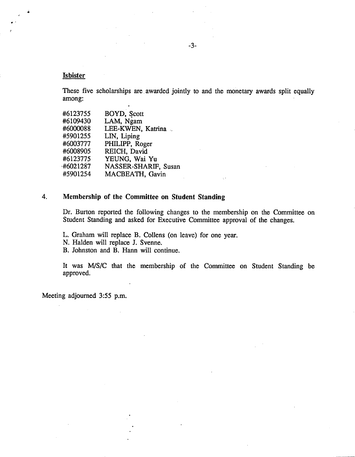# **Isbister**

These five scholarships are awarded jointly to and the monetary awards split equally among:

| #6123755    | BOYD, Scott          |
|-------------|----------------------|
| #6109430    | LAM, Ngam            |
| #6000088    | LEE-KWEN, Katrina    |
| #5901255    | LIN, Liping          |
| #6003777    | PHILIPP, Roger       |
| #6008905    | REICH, David         |
| #6123775    | YEUNG, Wai Yu        |
| $-#6021287$ | NASSER-SHARIF, Susan |
| #5901254    | MACBEATH, Gavin      |
|             |                      |

# *4.* **Membership of the Committee on Student Standing**

Dr. Burton reported the following changes to the membership on the Committee on Student Standing and asked for Executive Committee approval of the changes.

V.

L. Graham will replace B. Collens (on leave) for one year.

N. Halden will replace J. Svenne.

B. Johnston and B. Hann will continue.

It was MIS/C that the membership of the Committee on Student Standing be approved.

Meeting adjourned 3:55 p.m.